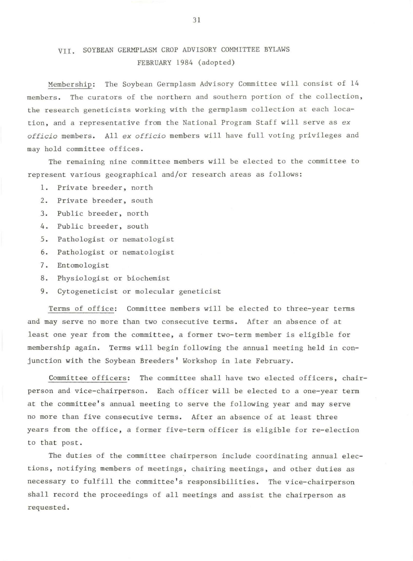## VII. SOYBEAN GERMPLASM CROP ADVISORY COMMITTEE BYLAWS FEBRUARY 1984 (adopted)

Membership: The Soybean Germplasm Advisory Committee will consist of 14 members. The curators of the northern and southern portion of the collection, the research geneticists working with the germplasm collection at each location, and a representative from the National Program Staff will serve as *ex officio* members. All *ex officio* members will have full voting privileges and may hold committee offices.

The remaining nine committee members will be elected to the committee to represent various geographical and/or research areas as follows:

- 1. Private breeder, north
- 2. Private breeder, south
- 3. Public breeder, north
- 4. Public breeder, south
- 5. Pathologist or nematologist
- 6. Pathologist or nematologist
- 7. Entomologist
- 8. Physiologist or biochemist
- 9. Cytogeneticist or molecular geneticist

Terms of office: Committee members will be elected to three-year terms and may serve no more than two consecutive terms. After an absence of at least one year from the committee, a former two-term member is eligible for membership again. Terms will begin following the annual meeting held in conjunction with the Soybean Breeders ' Workshop in late February.

Committee officers: The committee shall have two elected officers, chairperson and vice-chairperson. Each officer will be elected to a one-year term at the committee's annual meeting to serve the following year and may serve no more than five consecutive terms. After an absence of at least three years from the office, a former five-term officer is eligible for re-election to that post.

The duties of the committee chairperson include coordinating annual elections, notifying members of meetings, chairing meetings, and other duties as necessary to fulfill the committee's responsibilities. The vice-chairperson shall record the proceedings of all meetings and assist the chairperson as requested.